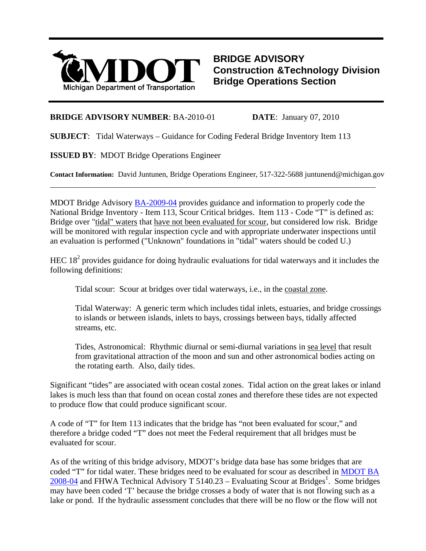

**BRIDGE ADVISORY Construction &Technology Division Bridge Operations Section**

## **BRIDGE ADVISORY NUMBER**: BA-2010-01 **DATE**: January 07, 2010

**SUBJECT**: Tidal Waterways – Guidance for Coding Federal Bridge Inventory Item 113

**ISSUED BY**: MDOT Bridge Operations Engineer

 $\overline{a}$ 

**Contact Information:** David Juntunen, Bridge Operations Engineer, 517-322-5688 juntunend@michigan.gov

MDOT Bridge Advisory **[BA-2009-04](http://www.michigan.gov/mdot/0,1607,7-151-9625_24768_49104---,00.html)** provides guidance and information to properly code the National Bridge Inventory - Item 113, Scour Critical bridges. Item 113 - Code "T" is defined as: Bridge over "tidal" waters that have not been evaluated for scour, but considered low risk. Bridge will be monitored with regular inspection cycle and with appropriate underwater inspections until an evaluation is performed ("Unknown" foundations in "tidal" waters should be coded U.)

HEC  $18<sup>2</sup>$  provides guidance for doing hydraulic evaluations for tidal waterways and it includes the following definitions:

Tidal scour: Scour at bridges over tidal waterways, i.e., in the coastal zone.

Tidal Waterway: A generic term which includes tidal inlets, estuaries, and bridge crossings to islands or between islands, inlets to bays, crossings between bays, tidally affected streams, etc.

Tides, Astronomical: Rhythmic diurnal or semi-diurnal variations in sea level that result from gravitational attraction of the moon and sun and other astronomical bodies acting on the rotating earth. Also, daily tides.

Significant "tides" are associated with ocean costal zones. Tidal action on the great lakes or inland lakes is much less than that found on ocean costal zones and therefore these tides are not expected to produce flow that could produce significant scour.

A code of "T" for Item 113 indicates that the bridge has "not been evaluated for scour," and therefore a bridge coded "T" does not meet the Federal requirement that all bridges must be evaluated for scour.

As of the writing of this bridge advisory, MDOT's bridge data base has some bridges that are coded "T" for tidal water. These bridges need to be evaluated for scour as described in [MDOT BA](http://www.michigan.gov/mdot/0,1607,7-151-9625_24768_49104---,00.html)   $2008-04$  and FHWA Technical Advisory T 5140.23 – Evaluating Scour at Bridges<sup>1</sup>. Some bridges may have been coded 'T' because the bridge crosses a body of water that is not flowing such as a lake or pond. If the hydraulic assessment concludes that there will be no flow or the flow will not